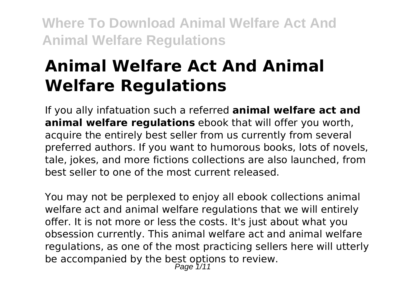# **Animal Welfare Act And Animal Welfare Regulations**

If you ally infatuation such a referred **animal welfare act and animal welfare regulations** ebook that will offer you worth, acquire the entirely best seller from us currently from several preferred authors. If you want to humorous books, lots of novels, tale, jokes, and more fictions collections are also launched, from best seller to one of the most current released.

You may not be perplexed to enjoy all ebook collections animal welfare act and animal welfare regulations that we will entirely offer. It is not more or less the costs. It's just about what you obsession currently. This animal welfare act and animal welfare regulations, as one of the most practicing sellers here will utterly be accompanied by the best options to review. Page 1/11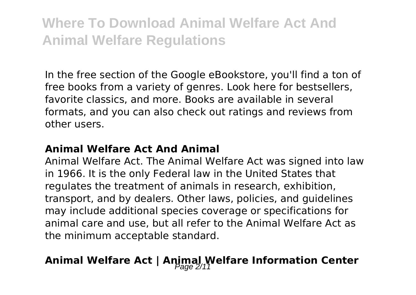In the free section of the Google eBookstore, you'll find a ton of free books from a variety of genres. Look here for bestsellers, favorite classics, and more. Books are available in several formats, and you can also check out ratings and reviews from other users.

#### **Animal Welfare Act And Animal**

Animal Welfare Act. The Animal Welfare Act was signed into law in 1966. It is the only Federal law in the United States that regulates the treatment of animals in research, exhibition, transport, and by dealers. Other laws, policies, and guidelines may include additional species coverage or specifications for animal care and use, but all refer to the Animal Welfare Act as the minimum acceptable standard.

### Animal Welfare Act | Animal Welfare Information Center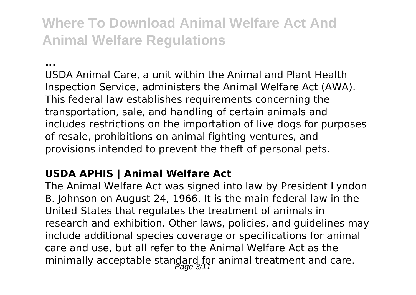**...**

USDA Animal Care, a unit within the Animal and Plant Health Inspection Service, administers the Animal Welfare Act (AWA). This federal law establishes requirements concerning the transportation, sale, and handling of certain animals and includes restrictions on the importation of live dogs for purposes of resale, prohibitions on animal fighting ventures, and provisions intended to prevent the theft of personal pets.

#### **USDA APHIS | Animal Welfare Act**

The Animal Welfare Act was signed into law by President Lyndon B. Johnson on August 24, 1966. It is the main federal law in the United States that regulates the treatment of animals in research and exhibition. Other laws, policies, and guidelines may include additional species coverage or specifications for animal care and use, but all refer to the Animal Welfare Act as the minimally acceptable standard for animal treatment and care.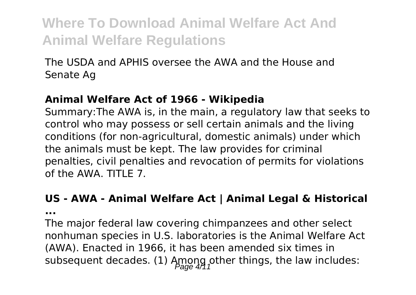The USDA and APHIS oversee the AWA and the House and Senate Ag

#### **Animal Welfare Act of 1966 - Wikipedia**

Summary:The AWA is, in the main, a regulatory law that seeks to control who may possess or sell certain animals and the living conditions (for non-agricultural, domestic animals) under which the animals must be kept. The law provides for criminal penalties, civil penalties and revocation of permits for violations of the AWA. TITLE 7.

#### **US - AWA - Animal Welfare Act | Animal Legal & Historical**

**...**

The major federal law covering chimpanzees and other select nonhuman species in U.S. laboratories is the Animal Welfare Act (AWA). Enacted in 1966, it has been amended six times in subsequent decades. (1) Among other things, the law includes: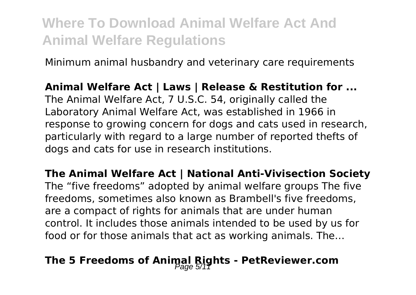Minimum animal husbandry and veterinary care requirements

**Animal Welfare Act | Laws | Release & Restitution for ...** The Animal Welfare Act, 7 U.S.C. 54, originally called the Laboratory Animal Welfare Act, was established in 1966 in response to growing concern for dogs and cats used in research, particularly with regard to a large number of reported thefts of dogs and cats for use in research institutions.

**The Animal Welfare Act | National Anti-Vivisection Society** The "five freedoms" adopted by animal welfare groups The five freedoms, sometimes also known as Brambell's five freedoms, are a compact of rights for animals that are under human control. It includes those animals intended to be used by us for food or for those animals that act as working animals. The…

### **The 5 Freedoms of Animal Rights - PetReviewer.com**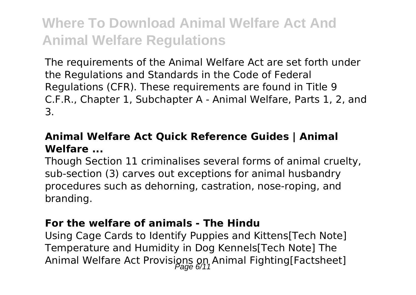The requirements of the Animal Welfare Act are set forth under the Regulations and Standards in the Code of Federal Regulations (CFR). These requirements are found in Title 9 C.F.R., Chapter 1, Subchapter A - Animal Welfare, Parts 1, 2, and 3.

#### **Animal Welfare Act Quick Reference Guides | Animal Welfare ...**

Though Section 11 criminalises several forms of animal cruelty, sub-section (3) carves out exceptions for animal husbandry procedures such as dehorning, castration, nose-roping, and branding.

#### **For the welfare of animals - The Hindu**

Using Cage Cards to Identify Puppies and Kittens[Tech Note] Temperature and Humidity in Dog Kennels[Tech Note] The Animal Welfare Act Provisions on Animal Fighting[Factsheet]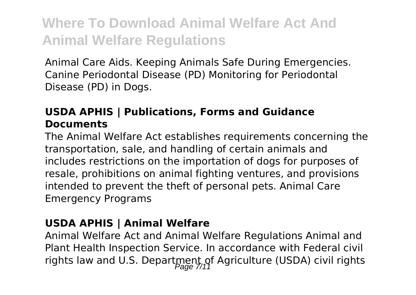Animal Care Aids. Keeping Animals Safe During Emergencies. Canine Periodontal Disease (PD) Monitoring for Periodontal Disease (PD) in Dogs.

#### **USDA APHIS | Publications, Forms and Guidance Documents**

The Animal Welfare Act establishes requirements concerning the transportation, sale, and handling of certain animals and includes restrictions on the importation of dogs for purposes of resale, prohibitions on animal fighting ventures, and provisions intended to prevent the theft of personal pets. Animal Care Emergency Programs

#### **USDA APHIS | Animal Welfare**

Animal Welfare Act and Animal Welfare Regulations Animal and Plant Health Inspection Service. In accordance with Federal civil rights law and U.S. Department of Agriculture (USDA) civil rights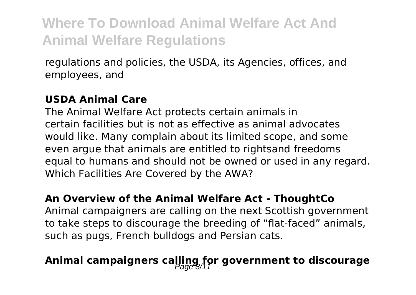regulations and policies, the USDA, its Agencies, offices, and employees, and

#### **USDA Animal Care**

The Animal Welfare Act protects certain animals in certain facilities but is not as effective as animal advocates would like. Many complain about its limited scope, and some even argue that animals are entitled to rightsand freedoms equal to humans and should not be owned or used in any regard. Which Facilities Are Covered by the AWA?

#### **An Overview of the Animal Welfare Act - ThoughtCo**

Animal campaigners are calling on the next Scottish government to take steps to discourage the breeding of "flat-faced" animals, such as pugs, French bulldogs and Persian cats.

### Animal campaigners calling for government to discourage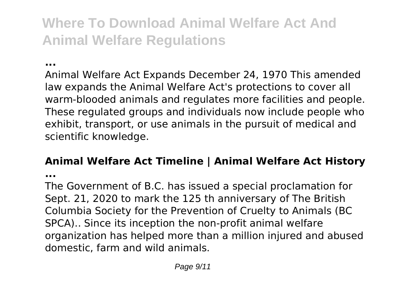#### **...**

Animal Welfare Act Expands December 24, 1970 This amended law expands the Animal Welfare Act's protections to cover all warm-blooded animals and regulates more facilities and people. These regulated groups and individuals now include people who exhibit, transport, or use animals in the pursuit of medical and scientific knowledge.

#### **Animal Welfare Act Timeline | Animal Welfare Act History**

**...**

The Government of B.C. has issued a special proclamation for Sept. 21, 2020 to mark the 125 th anniversary of The British Columbia Society for the Prevention of Cruelty to Animals (BC SPCA).. Since its inception the non-profit animal welfare organization has helped more than a million injured and abused domestic, farm and wild animals.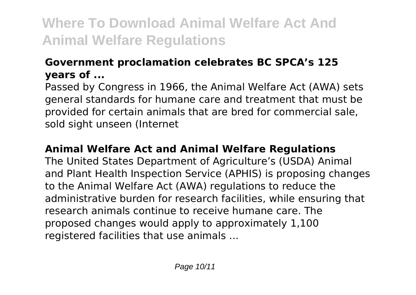### **Government proclamation celebrates BC SPCA's 125 years of ...**

Passed by Congress in 1966, the Animal Welfare Act (AWA) sets general standards for humane care and treatment that must be provided for certain animals that are bred for commercial sale, sold sight unseen (Internet

#### **Animal Welfare Act and Animal Welfare Regulations**

The United States Department of Agriculture's (USDA) Animal and Plant Health Inspection Service (APHIS) is proposing changes to the Animal Welfare Act (AWA) regulations to reduce the administrative burden for research facilities, while ensuring that research animals continue to receive humane care. The proposed changes would apply to approximately 1,100 registered facilities that use animals ...